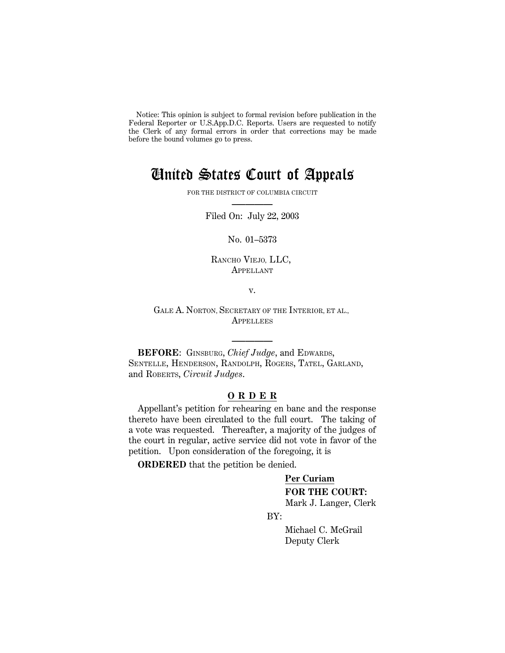Notice: This opinion is subject to formal revision before publication in the Federal Reporter or U.S.App.D.C. Reports. Users are requested to notify the Clerk of any formal errors in order that corrections may be made before the bound volumes go to press.

## United States Court of Appeals

FOR THE DISTRICT OF COLUMBIA CIRCUIT **–————**

Filed On: July 22, 2003

No. 01–5373

RANCHO VIEJO, LLC, APPELLANT

v.

GALE A. NORTON, SECRETARY OF THE INTERIOR, ET AL., **APPELLEES** 

**–————**

**BEFORE**: GINSBURG, *Chief Judge*, and EDWARDS, SENTELLE, HENDERSON, RANDOLPH, ROGERS, TATEL, GARLAND, and ROBERTS, *Circuit Judges*.

## **O R D E R**

Appellant's petition for rehearing en banc and the response thereto have been circulated to the full court. The taking of a vote was requested. Thereafter, a majority of the judges of the court in regular, active service did not vote in favor of the petition. Upon consideration of the foregoing, it is

**ORDERED** that the petition be denied.

## **Per Curiam FOR THE COURT:**

Mark J. Langer, Clerk

BY:

 Michael C. McGrail Deputy Clerk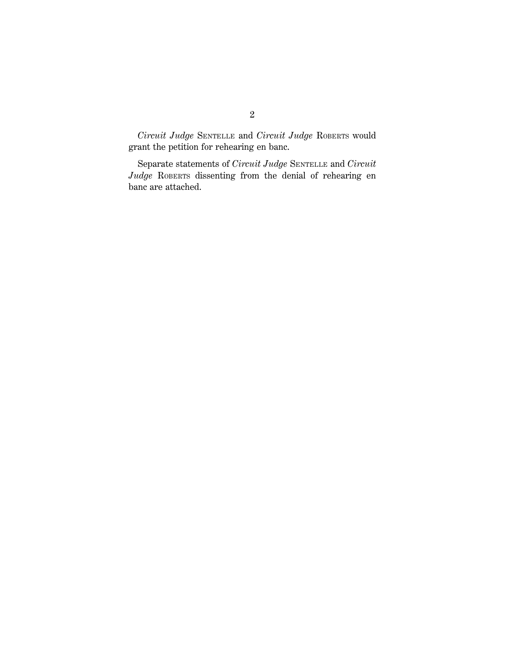*Circuit Judge* SENTELLE and *Circuit Judge* ROBERTS would grant the petition for rehearing en banc.

Separate statements of *Circuit Judge* SENTELLE and *Circuit Judge* ROBERTS dissenting from the denial of rehearing en banc are attached.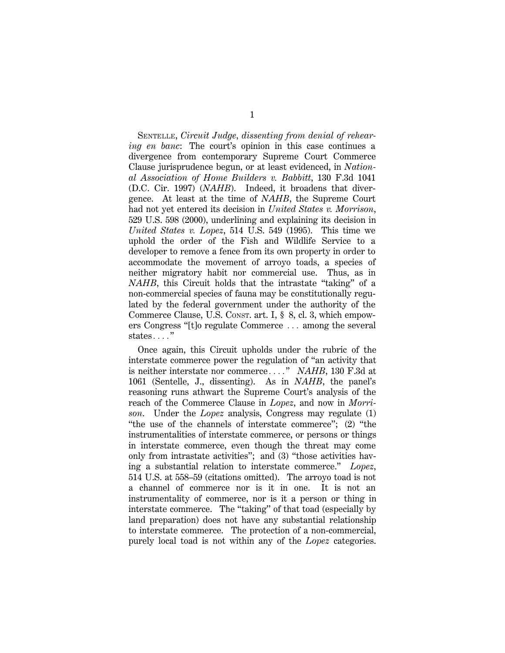SENTELLE, *Circuit Judge*, *dissenting from denial of rehearing en banc*: The court's opinion in this case continues a divergence from contemporary Supreme Court Commerce Clause jurisprudence begun, or at least evidenced, in *National Association of Home Builders v. Babbitt*, 130 F.3d 1041 (D.C. Cir. 1997) (*NAHB*). Indeed, it broadens that divergence. At least at the time of *NAHB*, the Supreme Court had not yet entered its decision in *United States v. Morrison*, 529 U.S. 598 (2000), underlining and explaining its decision in *United States v. Lopez*, 514 U.S. 549 (1995). This time we uphold the order of the Fish and Wildlife Service to a developer to remove a fence from its own property in order to accommodate the movement of arroyo toads, a species of neither migratory habit nor commercial use. Thus, as in *NAHB*, this Circuit holds that the intrastate "taking" of a non-commercial species of fauna may be constitutionally regulated by the federal government under the authority of the Commerce Clause, U.S. CONST. art. I, § 8, cl. 3, which empowers Congress "[t]o regulate Commerce  $\ldots$  among the several states...."

Once again, this Circuit upholds under the rubric of the interstate commerce power the regulation of ''an activity that is neither interstate nor commerce...." *NAHB*, 130 F.3d at 1061 (Sentelle, J., dissenting). As in *NAHB*, the panel's reasoning runs athwart the Supreme Court's analysis of the reach of the Commerce Clause in *Lopez*, and now in *Morrison*. Under the *Lopez* analysis, Congress may regulate (1) ''the use of the channels of interstate commerce''; (2) ''the instrumentalities of interstate commerce, or persons or things in interstate commerce, even though the threat may come only from intrastate activities''; and (3) ''those activities having a substantial relation to interstate commerce.'' *Lopez*, 514 U.S. at 558–59 (citations omitted). The arroyo toad is not a channel of commerce nor is it in one. It is not an instrumentality of commerce, nor is it a person or thing in interstate commerce. The "taking" of that toad (especially by land preparation) does not have any substantial relationship to interstate commerce. The protection of a non-commercial, purely local toad is not within any of the *Lopez* categories.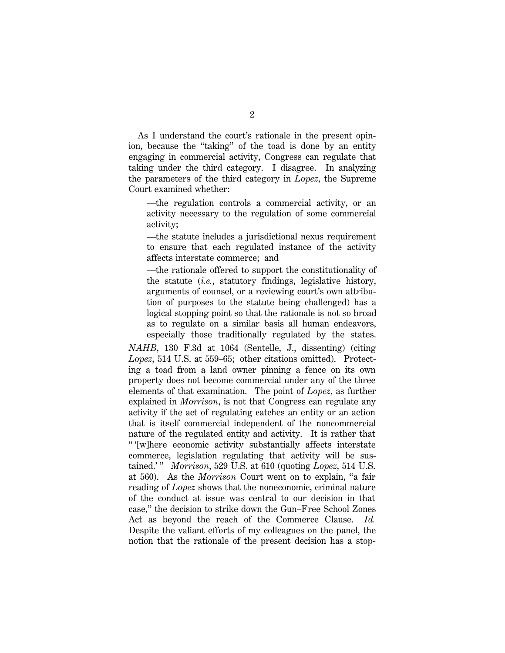As I understand the court's rationale in the present opinion, because the ''taking'' of the toad is done by an entity engaging in commercial activity, Congress can regulate that taking under the third category. I disagree. In analyzing the parameters of the third category in *Lopez*, the Supreme Court examined whether:

—the regulation controls a commercial activity, or an activity necessary to the regulation of some commercial activity;

—the statute includes a jurisdictional nexus requirement to ensure that each regulated instance of the activity affects interstate commerce; and

—the rationale offered to support the constitutionality of the statute (*i.e.*, statutory findings, legislative history, arguments of counsel, or a reviewing court's own attribution of purposes to the statute being challenged) has a logical stopping point so that the rationale is not so broad as to regulate on a similar basis all human endeavors, especially those traditionally regulated by the states.

*NAHB*, 130 F.3d at 1064 (Sentelle, J., dissenting) (citing *Lopez*, 514 U.S. at 559–65; other citations omitted). Protecting a toad from a land owner pinning a fence on its own property does not become commercial under any of the three elements of that examination. The point of *Lopez*, as further explained in *Morrison*, is not that Congress can regulate any activity if the act of regulating catches an entity or an action that is itself commercial independent of the noncommercial nature of the regulated entity and activity. It is rather that '' '[w]here economic activity substantially affects interstate commerce, legislation regulating that activity will be sustained.' '' *Morrison*, 529 U.S. at 610 (quoting *Lopez*, 514 U.S. at 560). As the *Morrison* Court went on to explain, ''a fair reading of *Lopez* shows that the noneconomic, criminal nature of the conduct at issue was central to our decision in that case,'' the decision to strike down the Gun–Free School Zones Act as beyond the reach of the Commerce Clause. *Id.* Despite the valiant efforts of my colleagues on the panel, the notion that the rationale of the present decision has a stop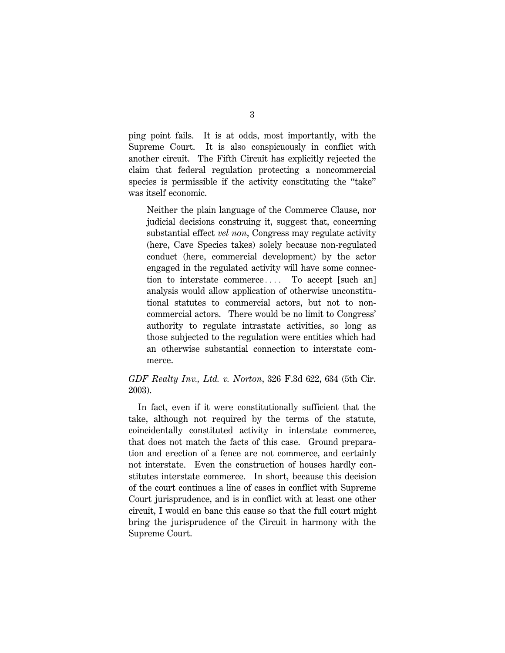ping point fails. It is at odds, most importantly, with the Supreme Court. It is also conspicuously in conflict with another circuit. The Fifth Circuit has explicitly rejected the claim that federal regulation protecting a noncommercial species is permissible if the activity constituting the "take" was itself economic.

Neither the plain language of the Commerce Clause, nor judicial decisions construing it, suggest that, concerning substantial effect *vel non*, Congress may regulate activity (here, Cave Species takes) solely because non-regulated conduct (here, commercial development) by the actor engaged in the regulated activity will have some connection to interstate commerce.... To accept [such an] analysis would allow application of otherwise unconstitutional statutes to commercial actors, but not to noncommercial actors. There would be no limit to Congress' authority to regulate intrastate activities, so long as those subjected to the regulation were entities which had an otherwise substantial connection to interstate commerce.

## *GDF Realty Inv., Ltd. v. Norton*, 326 F.3d 622, 634 (5th Cir. 2003).

In fact, even if it were constitutionally sufficient that the take, although not required by the terms of the statute, coincidentally constituted activity in interstate commerce, that does not match the facts of this case. Ground preparation and erection of a fence are not commerce, and certainly not interstate. Even the construction of houses hardly constitutes interstate commerce. In short, because this decision of the court continues a line of cases in conflict with Supreme Court jurisprudence, and is in conflict with at least one other circuit, I would en banc this cause so that the full court might bring the jurisprudence of the Circuit in harmony with the Supreme Court.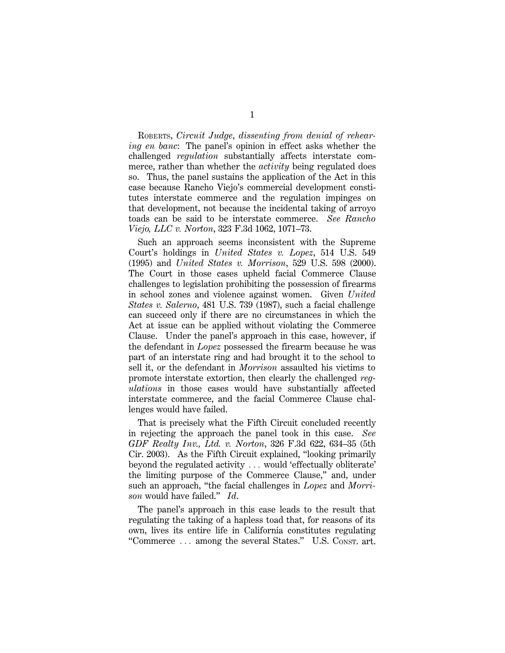ROBERTS, *Circuit Judge*, *dissenting from denial of rehearing en banc*: The panel's opinion in effect asks whether the challenged *regulation* substantially affects interstate commerce, rather than whether the *activity* being regulated does so. Thus, the panel sustains the application of the Act in this case because Rancho Viejo's commercial development constitutes interstate commerce and the regulation impinges on that development, not because the incidental taking of arroyo toads can be said to be interstate commerce. *See Rancho Viejo, LLC v. Norton*, 323 F.3d 1062, 1071–73.

Such an approach seems inconsistent with the Supreme Court's holdings in *United States v. Lopez*, 514 U.S. 549 (1995) and *United States v. Morrison*, 529 U.S. 598 (2000). The Court in those cases upheld facial Commerce Clause challenges to legislation prohibiting the possession of firearms in school zones and violence against women. Given *United States v. Salerno*, 481 U.S. 739 (1987), such a facial challenge can succeed only if there are no circumstances in which the Act at issue can be applied without violating the Commerce Clause. Under the panel's approach in this case, however, if the defendant in *Lopez* possessed the firearm because he was part of an interstate ring and had brought it to the school to sell it, or the defendant in *Morrison* assaulted his victims to promote interstate extortion, then clearly the challenged *regulations* in those cases would have substantially affected interstate commerce, and the facial Commerce Clause challenges would have failed.

That is precisely what the Fifth Circuit concluded recently in rejecting the approach the panel took in this case. *See GDF Realty Inv., Ltd. v. Norton*, 326 F.3d 622, 634–35 (5th Cir. 2003). As the Fifth Circuit explained, ''looking primarily beyond the regulated activity  $\ldots$  would 'effectually obliterate' the limiting purpose of the Commerce Clause,'' and, under such an approach, ''the facial challenges in *Lopez* and *Morrison* would have failed.'' *Id*.

The panel's approach in this case leads to the result that regulating the taking of a hapless toad that, for reasons of its own, lives its entire life in California constitutes regulating "Commerce ... among the several States." U.S. Const. art.